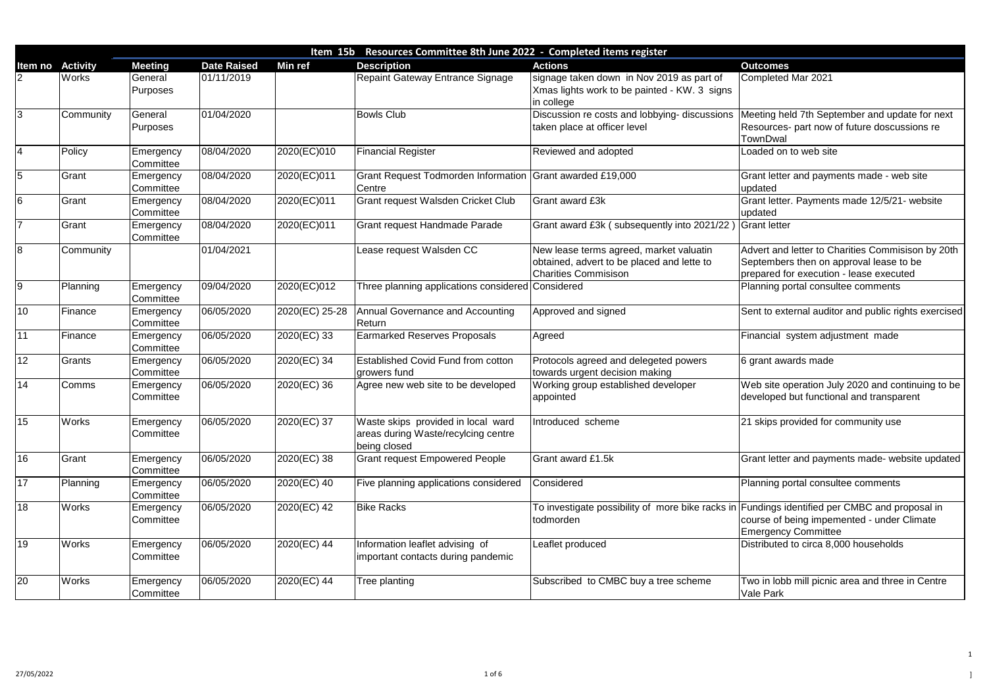Meeting held 7th September and update for next Resources- part now of future doscussions re **TownDwal** 

oaded on to web site

Grant letter and payments made - web site pdated

Grant letter. Payments made 12/5/21- website pdated

Completed Mar 2021

Advert and letter to Charities Commisison by 20th Septembers then on approval lease to be prepared for execution - lease executed Planning portal consultee comments

Sent to external auditor and public rights exercised

inancial system adjustment made

Two in lobb mill picnic area and three in Centre Vale Park

|                 |                 |                            |                    | Item 15b       | Resources Committee 8th June 2022 - Completed items register                              |                                                                                                                      |                                               |
|-----------------|-----------------|----------------------------|--------------------|----------------|-------------------------------------------------------------------------------------------|----------------------------------------------------------------------------------------------------------------------|-----------------------------------------------|
| Item no         | <b>Activity</b> | <b>Meeting</b>             | <b>Date Raised</b> | <b>Min ref</b> | <b>Description</b>                                                                        | <b>Actions</b>                                                                                                       | <b>Outcomes</b>                               |
|                 | <b>Works</b>    | General<br><b>Purposes</b> | 01/11/2019         |                | Repaint Gateway Entrance Signage                                                          | signage taken down in Nov 2019 as part of<br>Xmas lights work to be painted - KW. 3 signs<br>in college              | Completed                                     |
| $\overline{3}$  | Community       | General<br><b>Purposes</b> | 01/04/2020         |                | <b>Bowls Club</b>                                                                         | Discussion re costs and lobbying- discussions<br>taken place at officer level                                        | Meeting he<br><b>Resources</b><br>TownDwal    |
| 4               | Policy          | Emergency<br>Committee     | 08/04/2020         | 2020(EC)010    | <b>Financial Register</b>                                                                 | <b>Reviewed and adopted</b>                                                                                          | Loaded on                                     |
| $\overline{5}$  | Grant           | Emergency<br>Committee     | 08/04/2020         | 2020(EC)011    | Grant Request Todmorden Information Grant awarded £19,000<br><b>Centre</b>                |                                                                                                                      | <b>Grant</b> letter<br>updated                |
| $\overline{6}$  | Grant           | Emergency<br>Committee     | 08/04/2020         | 2020(EC)011    | <b>Grant request Walsden Cricket Club</b>                                                 | <b>Grant award £3k</b>                                                                                               | <b>Grant letter</b><br>updated                |
| 7               | Grant           | Emergency<br>Committee     | 08/04/2020         | 2020(EC)011    | <b>Grant request Handmade Parade</b>                                                      | Grant award £3k (subsequently into 2021/22                                                                           | <b>Grant letter</b>                           |
| 8               | Community       |                            | 01/04/2021         |                | Lease request Walsden CC                                                                  | New lease terms agreed, market valuatin<br>obtained, advert to be placed and lette to<br><b>Charities Commisison</b> | <b>Advert and</b><br>September<br>prepared fo |
| 9               | Planning        | Emergency<br>Committee     | 09/04/2020         | 2020(EC)012    | Three planning applications considered Considered                                         |                                                                                                                      | Planning po                                   |
| 10              | Finance         | Emergency<br>Committee     | 06/05/2020         | 2020(EC) 25-28 | <b>Annual Governance and Accounting</b><br><b>Return</b>                                  | Approved and signed                                                                                                  | Sent to exte                                  |
| $\overline{11}$ | Finance         | Emergency<br>Committee     | 06/05/2020         | 2020(EC) 33    | <b>Earmarked Reserves Proposals</b>                                                       | Agreed                                                                                                               | Financial s                                   |
| 12              | Grants          | Emergency<br>Committee     | 06/05/2020         | 2020(EC) 34    | <b>Established Covid Fund from cotton</b><br>growers fund                                 | Protocols agreed and delegeted powers<br>towards urgent decision making                                              | 6 grant awa                                   |
| 14              | Comms           | Emergency<br>Committee     | 06/05/2020         | 2020(EC) 36    | Agree new web site to be developed                                                        | Working group established developer<br>appointed                                                                     | Web site of<br>developed                      |
| 15              | <b>Works</b>    | Emergency<br>Committee     | 06/05/2020         | 2020(EC) 37    | Waste skips provided in local ward<br>areas during Waste/recylcing centre<br>being closed | Introduced scheme                                                                                                    | 21 skips pr                                   |
| 16              | Grant           | Emergency<br>Committee     | 06/05/2020         | 2020(EC) 38    | <b>Grant request Empowered People</b>                                                     | Grant award £1.5k                                                                                                    | <b>Grant letter</b>                           |
| 17              | Planning        | Emergency<br>Committee     | 06/05/2020         | 2020(EC) 40    | Five planning applications considered                                                     | Considered                                                                                                           | Planning po                                   |
| 18              | Works           | Emergency<br>Committee     | 06/05/2020         | 2020(EC) 42    | <b>Bike Racks</b>                                                                         | To investigate possibility of more bike racks in Fundings id<br>todmorden                                            | course of b<br>Emergency                      |
| $\overline{19}$ | <b>Works</b>    | Emergency<br>Committee     | 06/05/2020         | 2020(EC) 44    | Information leaflet advising of<br>important contacts during pandemic                     | Leaflet produced                                                                                                     | <b>Distributed</b>                            |
| 20              | Works           | Emergency<br>Committee     | 06/05/2020         | 2020(EC) 44    | Tree planting                                                                             | Subscribed to CMBC buy a tree scheme                                                                                 | Two in lobb<br>Vale Park                      |

6 grant awards made

Web site operation July 2020 and continuing to be developed but functional and transparent

21 skips provided for community use

Grant letter and payments made- website updated

Planning portal consultee comments

Fundings identified per CMBC and proposal in course of being impemented - under Climate Emergency Committee

Distributed to circa 8,000 households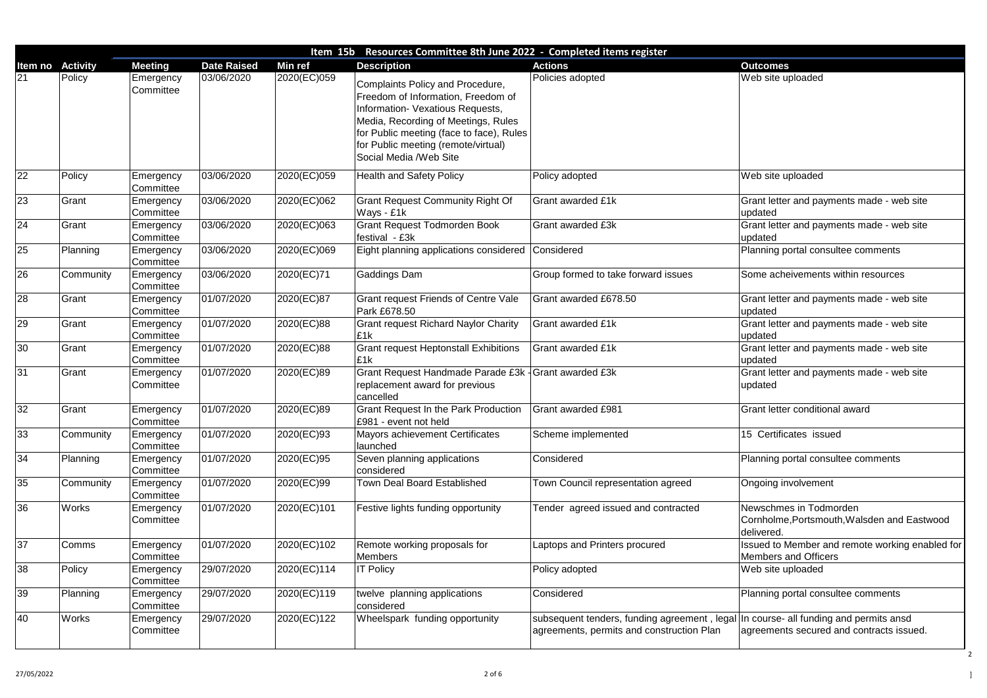Grant letter and payments made - web site updated

...<br>Grant letter and payments made - web site updated

Planning portal consultee comments

Some acheivements within resources

Grant letter and payments made - web site updated

Frant letter and payments made - web site updated

Grant letter and payments made - web site updated

..<br>Grant letter and payments made - web site updated

Grant letter conditional award

**15 Certificates issued** 

Planning portal consultee comments

**Ongoing involvement** 

Vewschmes in Todmorden Cornholme,Portsmouth,Walsden and Eastwood delivered.

ssued to Member and remote working enabled for Members and Officers

Web site uploaded

Planning portal consultee comments

| Resources Committee 8th June 2022 - Completed items register<br>Item 15b |                 |                        |                    |             |                                                                                                                                                                                                                                                                |                                                                                                        |                                     |
|--------------------------------------------------------------------------|-----------------|------------------------|--------------------|-------------|----------------------------------------------------------------------------------------------------------------------------------------------------------------------------------------------------------------------------------------------------------------|--------------------------------------------------------------------------------------------------------|-------------------------------------|
| ltem no                                                                  | <b>Activity</b> | <b>Meeting</b>         | <b>Date Raised</b> | Min ref     | <b>Description</b>                                                                                                                                                                                                                                             | <b>Actions</b>                                                                                         | <b>Outcomes</b>                     |
| 21                                                                       | Policy          | Emergency<br>Committee | 03/06/2020         | 2020(EC)059 | Complaints Policy and Procedure,<br>Freedom of Information, Freedom of<br>Information- Vexatious Requests,<br>Media, Recording of Meetings, Rules<br>for Public meeting (face to face), Rules<br>for Public meeting (remote/virtual)<br>Social Media /Web Site | Policies adopted                                                                                       | Web site u                          |
| 22                                                                       | Policy          | Emergency<br>Committee | 03/06/2020         | 2020(EC)059 | <b>Health and Safety Policy</b>                                                                                                                                                                                                                                | Policy adopted                                                                                         | Web site u                          |
| 23                                                                       | Grant           | Emergency<br>Committee | 03/06/2020         | 2020(EC)062 | <b>Grant Request Community Right Of</b><br>Ways - £1k                                                                                                                                                                                                          | <b>Grant awarded £1k</b>                                                                               | <b>Grant lette</b><br>updated       |
| $\overline{24}$                                                          | Grant           | Emergency<br>Committee | 03/06/2020         | 2020(EC)063 | <b>Grant Request Todmorden Book</b><br>festival - £3k                                                                                                                                                                                                          | <b>Grant awarded £3k</b>                                                                               | <b>Grant lette</b><br>updated       |
| 25                                                                       | Planning        | Emergency<br>Committee | 03/06/2020         | 2020(EC)069 | Eight planning applications considered Considered                                                                                                                                                                                                              |                                                                                                        | Planning p                          |
| 26                                                                       | Community       | Emergency<br>Committee | 03/06/2020         | 2020(EC)71  | Gaddings Dam                                                                                                                                                                                                                                                   | Group formed to take forward issues                                                                    | Some ache                           |
| 28                                                                       | Grant           | Emergency<br>Committee | 01/07/2020         | 2020(EC)87  | Grant request Friends of Centre Vale<br>Park £678.50                                                                                                                                                                                                           | Grant awarded £678.50                                                                                  | <b>Grant lette</b><br>updated       |
| 29                                                                       | Grant           | Emergency<br>Committee | 01/07/2020         | 2020(EC)88  | <b>Grant request Richard Naylor Charity</b><br>£1k                                                                                                                                                                                                             | <b>Grant awarded £1k</b>                                                                               | <b>Grant lette</b><br>updated       |
| 30                                                                       | Grant           | Emergency<br>Committee | 01/07/2020         | 2020(EC)88  | <b>Grant request Heptonstall Exhibitions</b><br>£1k                                                                                                                                                                                                            | Grant awarded £1k                                                                                      | <b>Grant lette</b><br>updated       |
| 31                                                                       | Grant           | Emergency<br>Committee | 01/07/2020         | 2020(EC)89  | Grant Request Handmade Parade £3k - Grant awarded £3k<br>replacement award for previous<br>cancelled                                                                                                                                                           |                                                                                                        | <b>Grant lette</b><br>updated       |
| 32                                                                       | Grant           | Emergency<br>Committee | 01/07/2020         | 2020(EC)89  | <b>Grant Request In the Park Production</b><br>£981 - event not held                                                                                                                                                                                           | Grant awarded £981                                                                                     | <b>Grant lette</b>                  |
| 33                                                                       | Community       | Emergency<br>Committee | 01/07/2020         | 2020(EC)93  | <b>Mayors achievement Certificates</b><br>launched                                                                                                                                                                                                             | Scheme implemented                                                                                     | 15 Certific                         |
| 34                                                                       | Planning        | Emergency<br>Committee | 01/07/2020         | 2020(EC)95  | Seven planning applications<br>considered                                                                                                                                                                                                                      | Considered                                                                                             | Planning p                          |
| 35                                                                       | Community       | Emergency<br>Committee | 01/07/2020         | 2020(EC)99  | <b>Town Deal Board Established</b>                                                                                                                                                                                                                             | Town Council representation agreed                                                                     | Ongoing in                          |
| 36                                                                       | <b>Works</b>    | Emergency<br>Committee | 01/07/2020         | 2020(EC)101 | Festive lights funding opportunity                                                                                                                                                                                                                             | Tender agreed issued and contracted                                                                    | Newschme<br>Cornholme<br>delivered. |
| 37                                                                       | Comms           | Emergency<br>Committee | 01/07/2020         | 2020(EC)102 | Remote working proposals for<br><b>Members</b>                                                                                                                                                                                                                 | Laptops and Printers procured                                                                          | <b>Issued to N</b><br>Members a     |
| 38                                                                       | Policy          | Emergency<br>Committee | 29/07/2020         | 2020(EC)114 | <b>IT Policy</b>                                                                                                                                                                                                                                               | Policy adopted                                                                                         | Web site u                          |
| 39                                                                       | Planning        | Emergency<br>Committee | 29/07/2020         | 2020(EC)119 | twelve planning applications<br>considered                                                                                                                                                                                                                     | Considered                                                                                             | Planning p                          |
| 40                                                                       | <b>Works</b>    | Emergency<br>Committee | 29/07/2020         | 2020(EC)122 | Wheelspark funding opportunity                                                                                                                                                                                                                                 | subsequent tenders, funding agreement, legal   In course-<br>agreements, permits and construction Plan | agreement                           |

n course- all funding and permits ansd agreements secured and contracts issued.

Veb site uploaded

Web site uploaded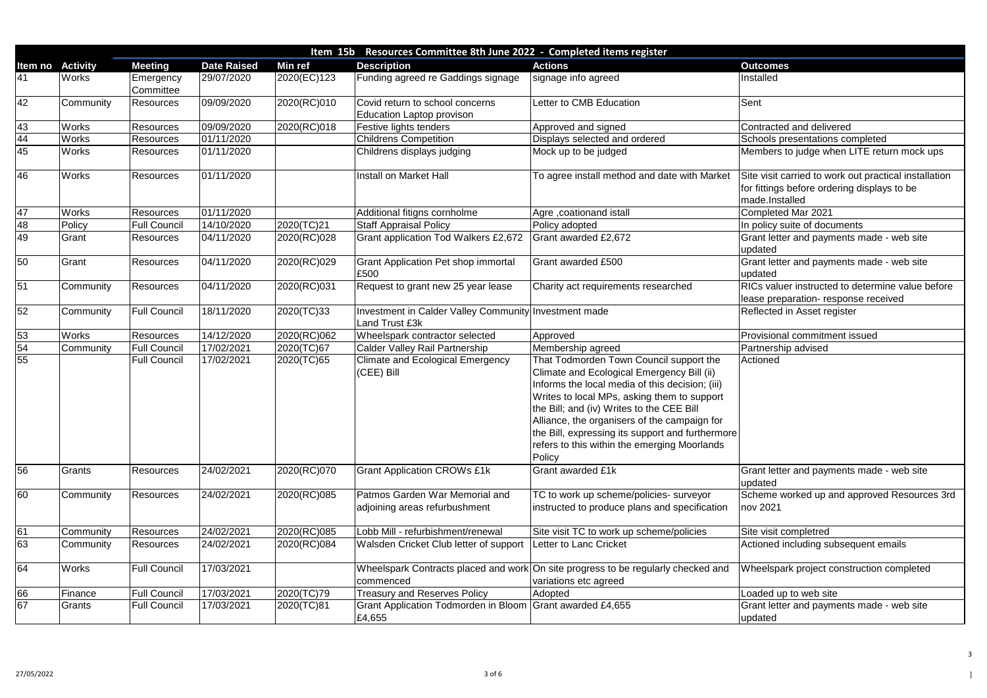Frant letter and payments made - web site updated

Grant letter and payments made - web site updated

RICs valuer instructed to determine value before ease preparation- response received

Reflected in Asset register

Provisional commitment issued

**2** Completed Mar 2021 n policy suite of documents

**Brant letter and payments made - web site** updated

| Resources Committee 8th June 2022 - Completed items register<br>Item 15b |                 |                        |                    |                |                                                                                |                                                                                                                                                                                                                                                                                                                                                                                                    |                                                                     |
|--------------------------------------------------------------------------|-----------------|------------------------|--------------------|----------------|--------------------------------------------------------------------------------|----------------------------------------------------------------------------------------------------------------------------------------------------------------------------------------------------------------------------------------------------------------------------------------------------------------------------------------------------------------------------------------------------|---------------------------------------------------------------------|
| Item no                                                                  | <b>Activity</b> | <b>Meeting</b>         | <b>Date Raised</b> | <b>Min ref</b> | <b>Description</b>                                                             | <b>Actions</b>                                                                                                                                                                                                                                                                                                                                                                                     | <b>Outcomes</b>                                                     |
| 41                                                                       | <b>Works</b>    | Emergency<br>Committee | 29/07/2020         | 2020(EC)123    | Funding agreed re Gaddings signage                                             | signage info agreed                                                                                                                                                                                                                                                                                                                                                                                | Installed                                                           |
| $\overline{42}$                                                          | Community       | <b>Resources</b>       | 09/09/2020         | 2020(RC)010    | Covid return to school concerns<br><b>Education Laptop provison</b>            | Letter to CMB Education                                                                                                                                                                                                                                                                                                                                                                            | Sent                                                                |
| $\frac{43}{44}$<br>$\frac{44}{45}$                                       | <b>Works</b>    | <b>Resources</b>       | 09/09/2020         | 2020(RC)018    | Festive lights tenders                                                         | Approved and signed                                                                                                                                                                                                                                                                                                                                                                                | Contracted and deli                                                 |
|                                                                          | <b>Works</b>    | Resources              | 01/11/2020         |                | <b>Childrens Competition</b>                                                   | Displays selected and ordered                                                                                                                                                                                                                                                                                                                                                                      | Schools presentatio                                                 |
|                                                                          | Works           | Resources              | 01/11/2020         |                | Childrens displays judging                                                     | Mock up to be judged                                                                                                                                                                                                                                                                                                                                                                               | Members to judge v                                                  |
| 46                                                                       | <b>Works</b>    | <b>Resources</b>       | 01/11/2020         |                | Install on Market Hall                                                         | To agree install method and date with Market                                                                                                                                                                                                                                                                                                                                                       | Site visit carried to y<br>for fittings before or<br>made.Installed |
| 47                                                                       | <b>Works</b>    | <b>Resources</b>       | 01/11/2020         |                | Additional fitigns cornholme                                                   | Agre, coationand istall                                                                                                                                                                                                                                                                                                                                                                            | Completed Mar 202                                                   |
| 48                                                                       | Policy          | <b>Full Council</b>    | 14/10/2020         | 2020(TC)21     | <b>Staff Appraisal Policy</b>                                                  | Policy adopted                                                                                                                                                                                                                                                                                                                                                                                     | In policy suite of do                                               |
| 49                                                                       | Grant           | Resources              | 04/11/2020         | 2020(RC)028    | <b>Grant application Tod Walkers £2,672</b>                                    | Grant awarded £2,672                                                                                                                                                                                                                                                                                                                                                                               | Grant letter and pay<br>updated                                     |
| 50                                                                       | Grant           | <b>Resources</b>       | 04/11/2020         | 2020(RC)029    | <b>Grant Application Pet shop immortal</b><br>£500                             | Grant awarded £500                                                                                                                                                                                                                                                                                                                                                                                 | Grant letter and pay<br>updated                                     |
| $\overline{51}$                                                          | Community       | Resources              | 04/11/2020         | 2020(RC)031    | Request to grant new 25 year lease                                             | Charity act requirements researched                                                                                                                                                                                                                                                                                                                                                                | <b>RICs valuer instruct</b><br>lease preparation- r                 |
| 52                                                                       | Community       | <b>Full Council</b>    | 18/11/2020         | 2020(TC)33     | Investment in Calder Valley Community Investment made<br><b>Land Trust £3k</b> |                                                                                                                                                                                                                                                                                                                                                                                                    | Reflected in Asset r                                                |
|                                                                          | <b>Works</b>    | Resources              | 14/12/2020         | 2020(RC)062    | Wheelspark contractor selected                                                 | Approved                                                                                                                                                                                                                                                                                                                                                                                           | <b>Provisional commitr</b>                                          |
| $\frac{53}{54}$ $\frac{54}{55}$                                          | Community       | <b>Full Council</b>    | 17/02/2021         | 2020(TC)67     | <b>Calder Valley Rail Partnership</b>                                          | Membership agreed                                                                                                                                                                                                                                                                                                                                                                                  | Partnership advised                                                 |
|                                                                          |                 | <b>Full Council</b>    | 17/02/2021         | 2020(TC)65     | <b>Climate and Ecological Emergency</b><br>(CEE) Bill                          | That Todmorden Town Council support the<br>Climate and Ecological Emergency Bill (ii)<br>Informs the local media of this decision; (iii)<br>Writes to local MPs, asking them to support<br>the Bill; and (iv) Writes to the CEE Bill<br>Alliance, the organisers of the campaign for<br>the Bill, expressing its support and furthermore<br>refers to this within the emerging Moorlands<br>Policy | Actioned                                                            |
| 56                                                                       | Grants          | <b>Resources</b>       | 24/02/2021         | 2020(RC)070    | <b>Grant Application CROWs £1k</b>                                             | Grant awarded £1k                                                                                                                                                                                                                                                                                                                                                                                  | Grant letter and pay<br>updated                                     |
| 60                                                                       | Community       | Resources              | 24/02/2021         | 2020(RC)085    | Patmos Garden War Memorial and<br>adjoining areas refurbushment                | TC to work up scheme/policies- surveyor<br>instructed to produce plans and specification                                                                                                                                                                                                                                                                                                           | Scheme worked up<br>nov 2021                                        |
|                                                                          | Community       | <b>Resources</b>       | 24/02/2021         | 2020(RC)085    | Lobb Mill - refurbishment/renewal                                              | Site visit TC to work up scheme/policies                                                                                                                                                                                                                                                                                                                                                           | Site visit completred                                               |
| $\frac{61}{63}$                                                          | Community       | <b>Resources</b>       | 24/02/2021         | 2020(RC)084    | Walsden Cricket Club letter of support                                         | Letter to Lanc Cricket                                                                                                                                                                                                                                                                                                                                                                             | Actioned including s                                                |
| 64                                                                       | Works           | <b>Full Council</b>    | 17/03/2021         |                | commenced                                                                      | Wheelspark Contracts placed and work On site progress to be regularly checked and<br>variations etc agreed                                                                                                                                                                                                                                                                                         | <b>Wheelspark project</b>                                           |
| 66                                                                       | Finance         | <b>Full Council</b>    | 17/03/2021         | 2020(TC)79     | <b>Treasury and Reserves Policy</b>                                            | Adopted                                                                                                                                                                                                                                                                                                                                                                                            | Loaded up to web s                                                  |
| $\overline{67}$                                                          | Grants          | <b>Full Council</b>    | 17/03/2021         | 2020(TC)81     | <b>Grant Application Todmorden in Bloom</b><br>£4,655                          | Grant awarded £4,655                                                                                                                                                                                                                                                                                                                                                                               | Grant letter and pay<br>updated                                     |

oaded up to web site Grant letter and payments made - web site updated

Scheme worked up and approved Resources 3rd nov 2021

**Site visit completred** Actioned including subsequent emails

Wheelspark project construction completed

Contracted and delivered

3chools presentations completed

Members to judge when LITE return mock ups

Site visit carried to work out practical installation or fittings before ordering displays to be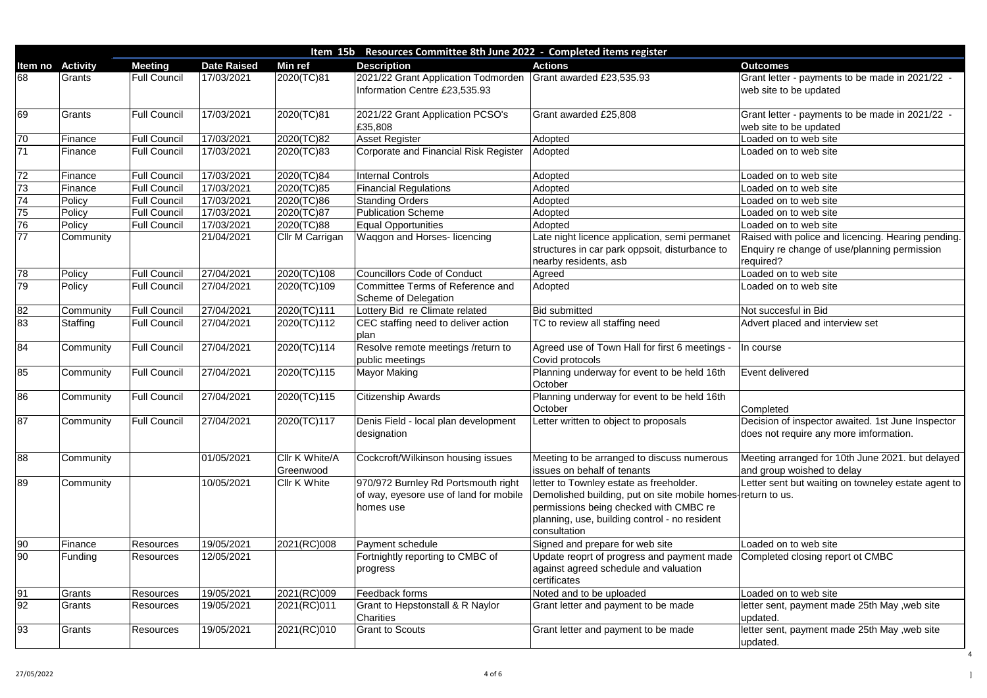Grant letter - payments to be made in 2021/22 web site to be updated

Grant letter - payments to be made in 2021/22 web site to be updated oaded on to web site

Raised with police and licencing. Hearing pending. Enquiry re change of use/planning permission equired?

Advert placed and interview set

Decision of inspector awaited. 1st June Inspector does not require any more imformation.

Letter sent but waiting on towneley estate agent to eturn to us.

 $20a$  and  $\overline{a}$  on to web site Completed closing report ot CMBC

oaded on to web site etter sent, payment made 25th May ,web site updated. etter sent, payment made 25th May ,web site

|                 | Item 15b Resources Committee 8th June 2022 - Completed items register |                     |                    |                             |                                                                                            |                                                                                                                                                                                                                   |                                                   |  |
|-----------------|-----------------------------------------------------------------------|---------------------|--------------------|-----------------------------|--------------------------------------------------------------------------------------------|-------------------------------------------------------------------------------------------------------------------------------------------------------------------------------------------------------------------|---------------------------------------------------|--|
| Item no         | <b>Activity</b>                                                       | <b>Meeting</b>      | <b>Date Raised</b> | <b>Min ref</b>              | <b>Description</b>                                                                         | <b>Actions</b>                                                                                                                                                                                                    | <b>Outcomes</b>                                   |  |
| 168             | Grants                                                                | <b>Full Council</b> | 17/03/2021         | 2020(TC)81                  | 2021/22 Grant Application Todmorden<br>Information Centre £23,535.93                       | Grant awarded £23,535.93                                                                                                                                                                                          | Grant letter - payments<br>web site to be updated |  |
| 69              | Grants                                                                | <b>Full Council</b> | 17/03/2021         | 2020(TC)81                  | 2021/22 Grant Application PCSO's<br>£35,808                                                | Grant awarded £25,808                                                                                                                                                                                             | Grant letter - payments<br>web site to be updated |  |
| 70              | Finance                                                               | <b>Full Council</b> | 17/03/2021         | 2020(TC)82                  | <b>Asset Register</b>                                                                      | Adopted                                                                                                                                                                                                           | Loaded on to web site                             |  |
| $\overline{71}$ | Finance                                                               | <b>Full Council</b> | 17/03/2021         | 2020(TC)83                  | Corporate and Financial Risk Register                                                      | Adopted                                                                                                                                                                                                           | Loaded on to web site                             |  |
| 72              | Finance                                                               | <b>Full Council</b> | 17/03/2021         | 2020(TC)84                  | <b>Internal Controls</b>                                                                   | Adopted                                                                                                                                                                                                           | Loaded on to web site                             |  |
| $\overline{73}$ | Finance                                                               | <b>Full Council</b> | 17/03/2021         | 2020(TC)85                  | <b>Financial Regulations</b>                                                               | Adopted                                                                                                                                                                                                           | Loaded on to web site                             |  |
| $\overline{74}$ | Policy                                                                | <b>Full Council</b> | 17/03/2021         | 2020(TC)86                  | <b>Standing Orders</b>                                                                     | Adopted                                                                                                                                                                                                           | Loaded on to web site                             |  |
| 75              | Policy                                                                | <b>Full Council</b> | 17/03/2021         | 2020(TC)87                  | <b>Publication Scheme</b>                                                                  | Adopted                                                                                                                                                                                                           | Loaded on to web site                             |  |
| 76              | Policy                                                                | <b>Full Council</b> | 17/03/2021         | 2020(TC)88                  | <b>Equal Opportunities</b>                                                                 | Adopted                                                                                                                                                                                                           | Loaded on to web site                             |  |
| 77              | Community                                                             |                     | 21/04/2021         | Cllr M Carrigan             | Waggon and Horses- licencing                                                               | Late night licence application, semi permanet<br>structures in car park oppsoit, disturbance to                                                                                                                   | Raised with police and<br>Enquiry re change of u  |  |
|                 |                                                                       |                     |                    |                             |                                                                                            | nearby residents, asb                                                                                                                                                                                             | required?                                         |  |
| 78              | Policy                                                                | <b>Full Council</b> | 27/04/2021         | 2020(TC)108                 | Councillors Code of Conduct                                                                | Agreed                                                                                                                                                                                                            | Loaded on to web site                             |  |
| 79              | Policy                                                                | <b>Full Council</b> | 27/04/2021         | 2020(TC)109                 | Committee Terms of Reference and<br>Scheme of Delegation                                   | Adopted                                                                                                                                                                                                           | Loaded on to web site                             |  |
| 82              | Community                                                             | <b>Full Council</b> | 27/04/2021         | 2020(TC)111                 | Lottery Bid re Climate related                                                             | <b>Bid submitted</b>                                                                                                                                                                                              | Not succesful in Bid                              |  |
| 83              | Staffing                                                              | <b>Full Council</b> | 27/04/2021         | 2020(TC)112                 | CEC staffing need to deliver action<br>plan                                                | TC to review all staffing need                                                                                                                                                                                    | Advert placed and inte                            |  |
| 84              | Community                                                             | <b>Full Council</b> | 27/04/2021         | 2020(TC)114                 | Resolve remote meetings /return to<br>public meetings                                      | Agreed use of Town Hall for first 6 meetings -<br>Covid protocols                                                                                                                                                 | In course                                         |  |
| 85              | Community                                                             | <b>Full Council</b> | 27/04/2021         | $\sqrt{2020}$ (TC)115       | <b>Mayor Making</b>                                                                        | Planning underway for event to be held 16th<br>October                                                                                                                                                            | Event delivered                                   |  |
| 86              | Community                                                             | <b>Full Council</b> | 27/04/2021         | 2020(TC)115                 | <b>Citizenship Awards</b>                                                                  | Planning underway for event to be held 16th<br>October                                                                                                                                                            | Completed                                         |  |
| 87              | Community                                                             | <b>Full Council</b> | 27/04/2021         | 2020(TC)117                 | Denis Field - local plan development<br>designation                                        | Letter written to object to proposals                                                                                                                                                                             | Decision of inspector a<br>does not require any m |  |
| 88              | Community                                                             |                     | 01/05/2021         | Cllr K White/A<br>Greenwood | Cockcroft/Wilkinson housing issues                                                         | Meeting to be arranged to discuss numerous<br>issues on behalf of tenants                                                                                                                                         | Meeting arranged for 1<br>and group woished to    |  |
| 89              | Community                                                             |                     | 10/05/2021         | <b>Cllr K White</b>         | 970/972 Burnley Rd Portsmouth right<br>of way, eyesore use of land for mobile<br>homes use | letter to Townley estate as freeholder.<br>Demolished building, put on site mobile homes return to us.<br>permissions being checked with CMBC re<br>planning, use, building control - no resident<br>consultation | Letter sent but waiting                           |  |
| $ 90\rangle$    | Finance                                                               | <b>Resources</b>    | 19/05/2021         | 2021(RC)008                 | <b>Payment schedule</b>                                                                    | Signed and prepare for web site                                                                                                                                                                                   | Loaded on to web site                             |  |
| $ 90\rangle$    | Funding                                                               | Resources           | 12/05/2021         |                             | Fortnightly reporting to CMBC of<br>progress                                               | Update reoprt of progress and payment made<br>against agreed schedule and valuation<br>certificates                                                                                                               | Completed closing rep                             |  |
| 91              | Grants                                                                | <b>Resources</b>    | 19/05/2021         | 2021(RC)009                 | Feedback forms                                                                             | Noted and to be uploaded                                                                                                                                                                                          | Loaded on to web site                             |  |
| 92              | Grants                                                                | Resources           | 19/05/2021         | 2021(RC)011                 | <b>Grant to Hepstonstall &amp; R Naylor</b><br><b>Charities</b>                            | Grant letter and payment to be made                                                                                                                                                                               | letter sent, payment m<br>updated.                |  |
| 93              | Grants                                                                | <b>Resources</b>    | 19/05/2021         | 2021(RC)010                 | <b>Grant to Scouts</b>                                                                     | Grant letter and payment to be made                                                                                                                                                                               | letter sent, payment m<br>updated.                |  |

Meeting arranged for 10th June 2021. but delayed and group woished to delay

updated.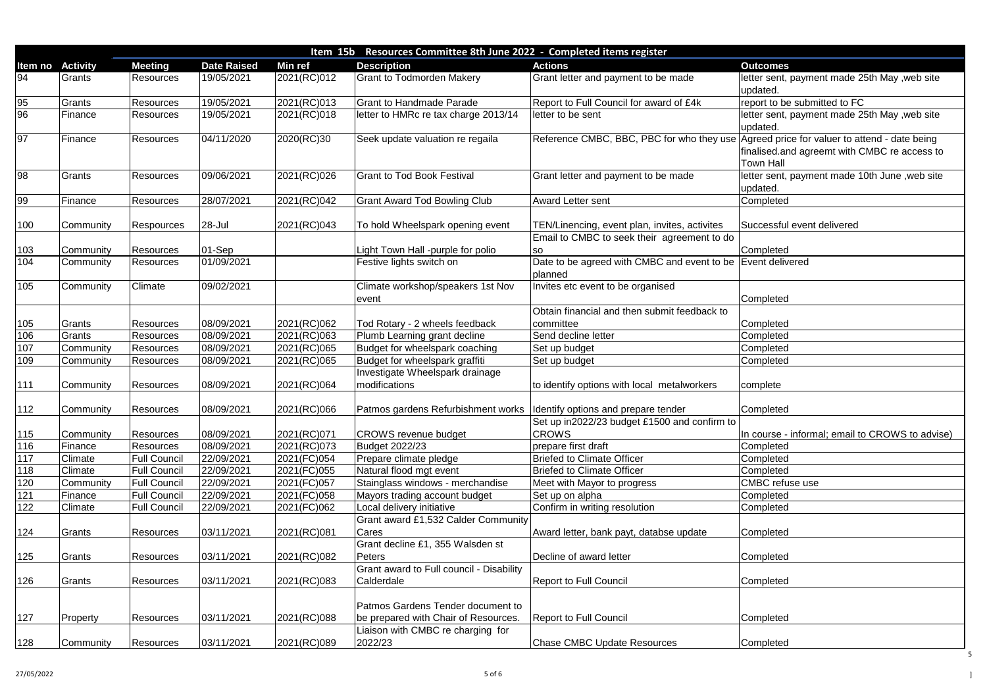|                 | Resources Committee 8th June 2022 - Completed items register<br>Item 15b |                                            |                          |                |                                                                           |                                                                                          |                                                                  |  |
|-----------------|--------------------------------------------------------------------------|--------------------------------------------|--------------------------|----------------|---------------------------------------------------------------------------|------------------------------------------------------------------------------------------|------------------------------------------------------------------|--|
| Item no         | <b>Activity</b>                                                          | <b>Meeting</b>                             | <b>Date Raised</b>       | <b>Min ref</b> | <b>Description</b>                                                        | <b>Actions</b>                                                                           | <b>Outcomes</b>                                                  |  |
| 94              | Grants                                                                   | <b>Resources</b>                           | 19/05/2021               | 2021(RC)012    | <b>Grant to Todmorden Makery</b>                                          | Grant letter and payment to be made                                                      | letter sent, payment made 25th May, web site<br>updated.         |  |
| $\frac{95}{96}$ | Grants                                                                   | Resources                                  | 19/05/2021               | 2021(RC)013    | <b>Grant to Handmade Parade</b>                                           | Report to Full Council for award of £4k                                                  | report to be submitted to FC                                     |  |
|                 | Finance                                                                  | Resources                                  | 19/05/2021               | 2021(RC)018    | letter to HMRc re tax charge 2013/14                                      | letter to be sent                                                                        | letter sent, payment made 25th May , web site<br>updated.        |  |
| 97              | <b>Finance</b>                                                           | Resources                                  | 04/11/2020               | 2020(RC)30     | Seek update valuation re regaila                                          | Reference CMBC, BBC, PBC for who they use Agreed price for valuer to attend - date being | finalised.and agreemt with CMBC re access to<br><b>Town Hall</b> |  |
| 98              | Grants                                                                   | Resources                                  | 09/06/2021               | 2021(RC)026    | <b>Grant to Tod Book Festival</b>                                         | Grant letter and payment to be made                                                      | letter sent, payment made 10th June, web site<br>updated.        |  |
| 99              | Finance                                                                  | Resources                                  | 28/07/2021               | 2021(RC)042    | <b>Grant Award Tod Bowling Club</b>                                       | <b>Award Letter sent</b>                                                                 | Completed                                                        |  |
| 100             | Community                                                                | <b>Respources</b>                          | $28 -$ Jul               | 2021(RC)043    | To hold Wheelspark opening event                                          | TEN/Linencing, event plan, invites, activites                                            | Successful event delivered                                       |  |
|                 |                                                                          |                                            |                          |                |                                                                           | Email to CMBC to seek their agreement to do                                              |                                                                  |  |
| 103<br>104      | Community<br>Community                                                   | <b>Resources</b><br><b>Resources</b>       | $ 01-Sep $<br>01/09/2021 |                | Light Town Hall -purple for polio<br>Festive lights switch on             | <b>SO</b><br>Date to be agreed with CMBC and event to be Event delivered<br>planned      | Completed                                                        |  |
| 105             | Community                                                                | Climate                                    | 09/02/2021               |                | Climate workshop/speakers 1st Nov<br>event                                | Invites etc event to be organised                                                        | Completed                                                        |  |
| 105             | Grants                                                                   | <b>Resources</b>                           | 08/09/2021               | 2021(RC)062    | Tod Rotary - 2 wheels feedback                                            | Obtain financial and then submit feedback to<br>committee                                | Completed                                                        |  |
| 106             | Grants                                                                   | Resources                                  | 08/09/2021               | 2021(RC)063    | Plumb Learning grant decline                                              | Send decline letter                                                                      | Completed                                                        |  |
| 107             | Community                                                                | Resources                                  | 08/09/2021               | 2021(RC)065    | Budget for wheelspark coaching                                            | Set up budget                                                                            | Completed                                                        |  |
| 109             | Community                                                                | <b>Resources</b>                           | 08/09/2021               | 2021(RC)065    | Budget for wheelspark graffiti                                            | Set up budget                                                                            | Completed                                                        |  |
| 111             | Community                                                                | Resources                                  | 08/09/2021               | 2021(RC)064    | Investigate Wheelspark drainage<br>modifications                          | to identify options with local metalworkers                                              | complete                                                         |  |
| 112             | Community                                                                | <b>Resources</b>                           | 08/09/2021               | 2021(RC)066    | Patmos gardens Refurbishment works   Identify options and prepare tender  |                                                                                          | Completed                                                        |  |
| 115             | Community                                                                | <b>Resources</b>                           | 08/09/2021               | 2021(RC)071    | <b>CROWS</b> revenue budget                                               | Set up in2022/23 budget £1500 and confirm to<br><b>CROWS</b>                             | In course - informal; email to CROWS to advise)                  |  |
| 116             | Finance                                                                  | <b>Resources</b>                           | 08/09/2021               | 2021(RC)073    | <b>Budget 2022/23</b>                                                     | prepare first draft                                                                      | Completed                                                        |  |
| 117             | <b>Climate</b>                                                           | <b>Full Council</b>                        | 22/09/2021               | 2021(FC)054    | Prepare climate pledge                                                    | <b>Briefed to Climate Officer</b>                                                        | Completed                                                        |  |
| 118             | <b>Climate</b>                                                           | <b>Full Council</b>                        | 22/09/2021               | 2021(FC)055    | Natural flood mgt event                                                   | <b>Briefed to Climate Officer</b>                                                        | Completed                                                        |  |
| 120             | Community                                                                | <b>Full Council</b>                        | 22/09/2021               | 2021(FC)057    | Stainglass windows - merchandise                                          | Meet with Mayor to progress                                                              | <b>CMBC</b> refuse use                                           |  |
| 121<br>122      | Finance<br><b>Climate</b>                                                | <b>Full Council</b><br><b>Full Council</b> | 22/09/2021<br>22/09/2021 | 2021(FC)058    | Mayors trading account budget                                             | Set up on alpha<br>Confirm in writing resolution                                         | Completed                                                        |  |
|                 |                                                                          |                                            |                          | 2021(FC)062    | Local delivery initiative<br><b>Grant award £1,532 Calder Community</b>   |                                                                                          | Completed                                                        |  |
| 124             | Grants                                                                   | <b>Resources</b>                           | 03/11/2021               | 2021(RC)081    | Cares                                                                     | Award letter, bank payt, databse update                                                  | Completed                                                        |  |
| 125             | Grants                                                                   | <b>Resources</b>                           | 03/11/2021               | 2021(RC)082    | Grant decline £1, 355 Walsden st<br><b>Peters</b>                         | Decline of award letter                                                                  | Completed                                                        |  |
| 126             | Grants                                                                   | Resources                                  | 03/11/2021               | 2021(RC)083    | <b>Grant award to Full council - Disability</b><br>Calderdale             | <b>Report to Full Council</b>                                                            | Completed                                                        |  |
| 127             | Property                                                                 | <b>Resources</b>                           | 03/11/2021               | 2021(RC)088    | Patmos Gardens Tender document to<br>be prepared with Chair of Resources. | <b>Report to Full Council</b>                                                            | Completed                                                        |  |
| $128$           | Community                                                                | <b>Resources</b>                           | 03/11/2021               | 2021(RC)089    | Liaison with CMBC re charging for<br>2022/23                              | <b>Chase CMBC Update Resources</b>                                                       | Completed                                                        |  |